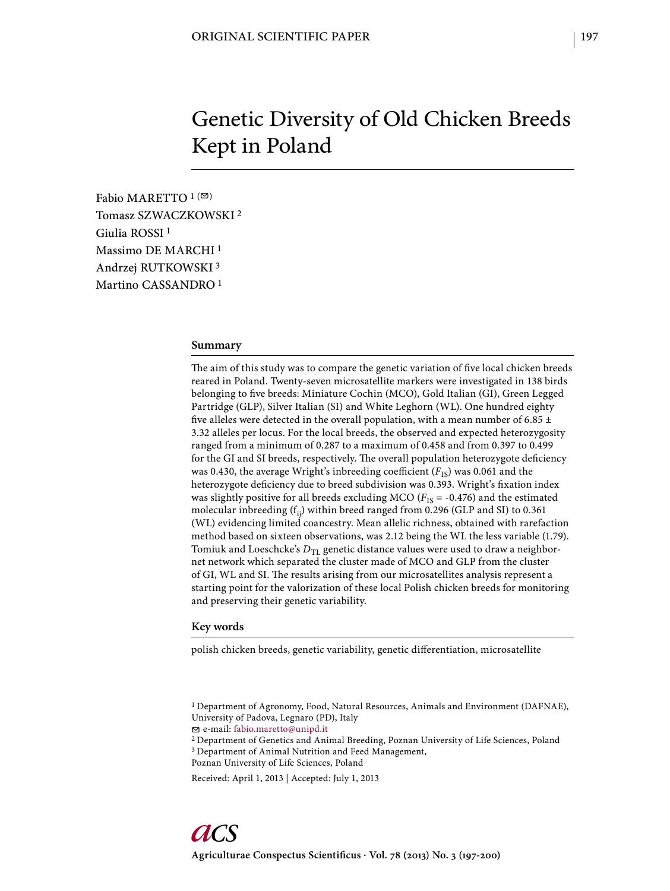# Genetic Diversity of Old Chicken Breeds Kept in Poland

Fabio MARETTO  $1$ <sup>( $\odot$ )</sup> Tomasz SZWACZKOWSKI 2 Giulia ROSSI 1 Massimo DE MARCHI 1 Andrzej RUTKOWSKI 3 Martino CASSANDRO 1

#### **Summary**

The aim of this study was to compare the genetic variation of five local chicken breeds reared in Poland. Twenty-seven microsatellite markers were investigated in 138 birds belonging to five breeds: Miniature Cochin (MCO), Gold Italian (GI), Green Legged Partridge (GLP), Silver Italian (SI) and White Leghorn (WL). One hundred eighty five alleles were detected in the overall population, with a mean number of 6.85  $\pm$ 3.32 alleles per locus. For the local breeds, the observed and expected heterozygosity ranged from a minimum of 0.287 to a maximum of 0.458 and from 0.397 to 0.499 for the GI and SI breeds, respectively. The overall population heterozygote deficiency was 0.430, the average Wright's inbreeding coefficient  $(F_{IS})$  was 0.061 and the heterozygote deficiency due to breed subdivision was 0.393. Wright's fixation index was slightly positive for all breeds excluding MCO ( $F_{IS}$  = -0.476) and the estimated molecular inbreeding  $(f_{ii})$  within breed ranged from 0.296 (GLP and SI) to 0.361 (WL) evidencing limited coancestry. Mean allelic richness, obtained with rarefaction method based on sixteen observations, was 2.12 being the WL the less variable (1.79). Tomiuk and Loeschcke's  $D_{TL}$  genetic distance values were used to draw a neighbornet network which separated the cluster made of MCO and GLP from the cluster of GI, WL and SI. The results arising from our microsatellites analysis represent a starting point for the valorization of these local Polish chicken breeds for monitoring and preserving their genetic variability.

#### **Key words**

polish chicken breeds, genetic variability, genetic differentiation, microsatellite

e-mail: fabio.maretto@unipd.it

2 Department of Genetics and Animal Breeding, Poznan University of Life Sciences, Poland 3 Department of Animal Nutrition and Feed Management,

Poznan University of Life Sciences, Poland

Received: April 1, 2013 | Accepted: July 1, 2013

<sup>1</sup> Department of Agronomy, Food, Natural Resources, Animals and Environment (DAFNAE), University of Padova, Legnaro (PD), Italy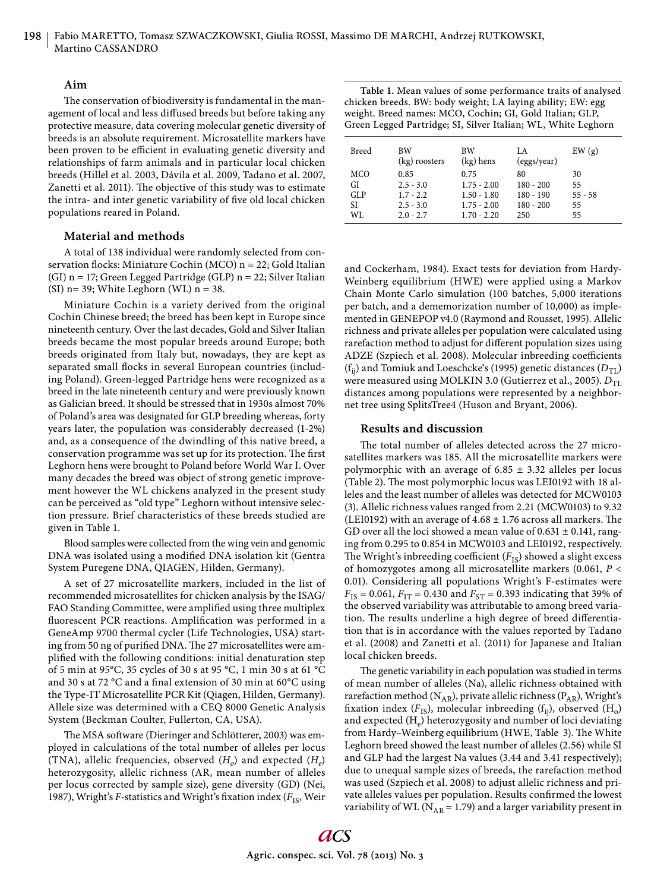## **Aim**

The conservation of biodiversity is fundamental in the management of local and less diffused breeds but before taking any protective measure, data covering molecular genetic diversity of breeds is an absolute requirement. Microsatellite markers have been proven to be efficient in evaluating genetic diversity and relationships of farm animals and in particular local chicken breeds (Hillel et al. 2003, Dávila et al. 2009, Tadano et al. 2007, Zanetti et al. 2011). The objective of this study was to estimate the intra- and inter genetic variability of five old local chicken populations reared in Poland.

## **Material and methods**

A total of 138 individual were randomly selected from conservation flocks: Miniature Cochin (MCO)  $n = 22$ ; Gold Italian (GI) n = 17; Green Legged Partridge (GLP) n = 22; Silver Italian (SI) n= 39; White Leghorn (WL)  $n = 38$ .

Miniature Cochin is a variety derived from the original Cochin Chinese breed; the breed has been kept in Europe since nineteenth century. Over the last decades, Gold and Silver Italian breeds became the most popular breeds around Europe; both breeds originated from Italy but, nowadays, they are kept as separated small flocks in several European countries (including Poland). Green-legged Partridge hens were recognized as a breed in the late nineteenth century and were previously known as Galician breed. It should be stressed that in 1930s almost 70% of Poland's area was designated for GLP breeding whereas, forty years later, the population was considerably decreased (1-2%) and, as a consequence of the dwindling of this native breed, a conservation programme was set up for its protection. The first Leghorn hens were brought to Poland before World War I. Over many decades the breed was object of strong genetic improvement however the WL chickens analyzed in the present study can be perceived as "old type" Leghorn without intensive selection pressure. Brief characteristics of these breeds studied are given in Table 1.

Blood samples were collected from the wing vein and genomic DNA was isolated using a modified DNA isolation kit (Gentra System Puregene DNA, QIAGEN, Hilden, Germany).

A set of 27 microsatellite markers, included in the list of recommended microsatellites for chicken analysis by the ISAG/ FAO Standing Committee, were amplified using three multiplex fluorescent PCR reactions. Amplification was performed in a GeneAmp 9700 thermal cycler (Life Technologies, USA) starting from 50 ng of purified DNA. The 27 microsatellites were amplified with the following conditions: initial denaturation step of 5 min at 95°C, 35 cycles of 30 s at 95 °C, 1 min 30 s at 61 °C and 30 s at 72  $\rm{°C}$  and a final extension of 30 min at 60 $\rm{°C}$  using the Type-IT Microsatellite PCR Kit (Qiagen, Hilden, Germany). Allele size was determined with a CEQ 8000 Genetic Analysis System (Beckman Coulter, Fullerton, CA, USA).

The MSA software (Dieringer and Schlötterer, 2003) was employed in calculations of the total number of alleles per locus (TNA), allelic frequencies, observed  $(H<sub>o</sub>)$  and expected  $(H<sub>e</sub>)$ heterozygosity, allelic richness (AR, mean number of alleles per locus corrected by sample size), gene diversity (GD) (Nei, 1987), Wright's *F*-statistics and Wright's fixation index ( $F_{IS}$ , Weir

| Table 1. Mean values of some performance traits of analysed   |
|---------------------------------------------------------------|
| chicken breeds. BW: body weight; LA laying ability; EW: egg   |
| weight. Breed names: MCO, Cochin; GI, Gold Italian; GLP,      |
| Green Legged Partridge; SI, Silver Italian; WL, White Leghorn |

| Breed                  | <b>BW</b><br>(kg) roosters                        | BW<br>$(kg)$ hens                                       | LA.<br>(eggs/year)                              | EW(g)                       |
|------------------------|---------------------------------------------------|---------------------------------------------------------|-------------------------------------------------|-----------------------------|
| MCO<br>GI<br>GLP<br>SI | 0.85<br>$2.5 - 3.0$<br>$1.7 - 2.2$<br>$2.5 - 3.0$ | 0.75<br>$1.75 - 2.00$<br>$1.50 - 1.80$<br>$1.75 - 2.00$ | 80<br>$180 - 200$<br>$180 - 190$<br>$180 - 200$ | 30<br>55<br>$55 - 58$<br>55 |
| WI.                    | $2.0 - 2.7$                                       | $1.70 - 2.20$                                           | 250                                             | 55                          |

and Cockerham, 1984). Exact tests for deviation from Hardy-Weinberg equilibrium (HWE) were applied using a Markov Chain Monte Carlo simulation (100 batches, 5,000 iterations per batch, and a dememorization number of 10,000) as implemented in GENEPOP v4.0 (Raymond and Rousset, 1995). Allelic richness and private alleles per population were calculated using rarefaction method to adjust for different population sizes using ADZE (Szpiech et al. 2008). Molecular inbreeding coefficients  $(f_{ij})$  and Tomiuk and Loeschcke's (1995) genetic distances  $(D_{TL})$ were measured using MOLKIN 3.0 (Gutierrez et al., 2005).  $D_{\text{TL}}$ distances among populations were represented by a neighbornet tree using SplitsTree4 (Huson and Bryant, 2006).

### **Results and discussion**

The total number of alleles detected across the 27 microsatellites markers was 185. All the microsatellite markers were polymorphic with an average of  $6.85 \pm 3.32$  alleles per locus (Table 2). The most polymorphic locus was LEI0192 with 18 alleles and the least number of alleles was detected for MCW0103 (3). Allelic richness values ranged from 2.21 (MCW0103) to 9.32 (LEI0192) with an average of 4.68  $\pm$  1.76 across all markers. The GD over all the loci showed a mean value of  $0.631 \pm 0.141$ , ranging from 0.295 to 0.854 in MCW0103 and LEI0192, respectively. The Wright's inbreeding coefficient  $(F_{IS})$  showed a slight excess of homozygotes among all microsatellite markers (0.061, *P* < 0.01). Considering all populations Wright's F-estimates were  $F_{IS}$  = 0.061,  $F_{IT}$  = 0.430 and  $F_{ST}$  = 0.393 indicating that 39% of the observed variability was attributable to among breed variation. The results underline a high degree of breed differentiation that is in accordance with the values reported by Tadano et al. (2008) and Zanetti et al. (2011) for Japanese and Italian local chicken breeds.

The genetic variability in each population was studied in terms of mean number of alleles (Na), allelic richness obtained with rarefaction method ( $N_{AR}$ ), private allelic richness ( $P_{AR}$ ), Wright's fixation index  $(F_{IS})$ , molecular inbreeding  $(f_{ii})$ , observed  $(H_o)$ and expected  $(H_e)$  heterozygosity and number of loci deviating from Hardy–Weinberg equilibrium (HWE, Table 3). The White Leghorn breed showed the least number of alleles (2.56) while SI and GLP had the largest Na values (3.44 and 3.41 respectively); due to unequal sample sizes of breeds, the rarefaction method was used (Szpiech et al. 2008) to adjust allelic richness and private alleles values per population. Results confirmed the lowest variability of WL ( $N_{AR}$  = 1.79) and a larger variability present in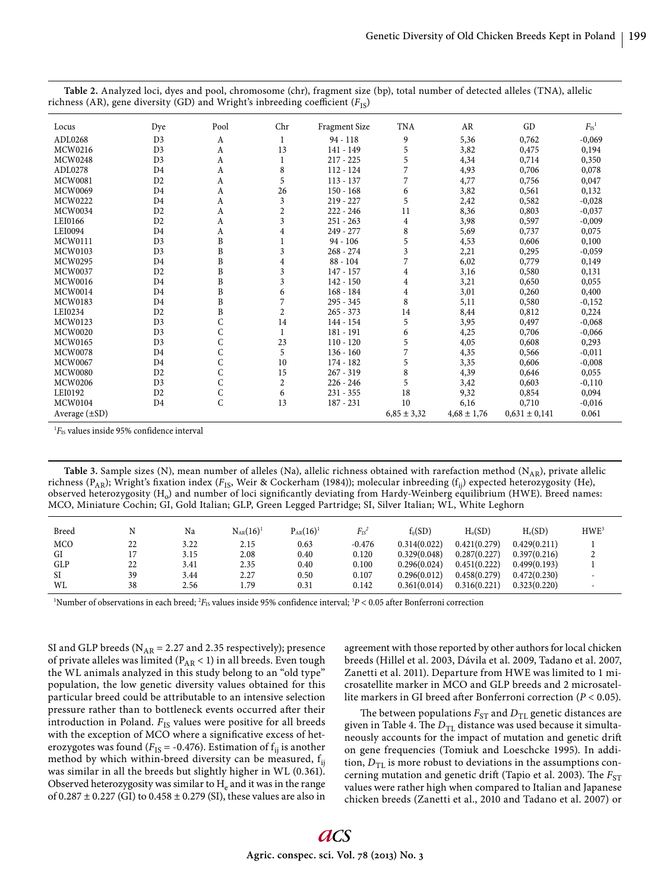| Locus              | Dye            | Pool | Chr                     | <b>Fragment Size</b> | <b>TNA</b>      | AR              | GD                | $F_{\rm IS}{}^1$ |
|--------------------|----------------|------|-------------------------|----------------------|-----------------|-----------------|-------------------|------------------|
| ADL0268            | D <sub>3</sub> | A    | 1                       | $94 - 118$           | 9               | 5,36            | 0,762             | $-0,069$         |
| MCW0216            | D <sub>3</sub> | A    | 13                      | 141 - 149            | 5               | 3,82            | 0,475             | 0,194            |
| <b>MCW0248</b>     | D <sub>3</sub> | A    | 1                       | $217 - 225$          | 5               | 4,34            | 0,714             | 0,350            |
| ADL0278            | D <sub>4</sub> | A    | 8                       | $112 - 124$          | 7               | 4,93            | 0,706             | 0,078            |
| <b>MCW0081</b>     | D2             | A    | 5                       | $113 - 137$          | 7               | 4,77            | 0,756             | 0,047            |
| <b>MCW0069</b>     | D <sub>4</sub> | A    | 26                      | $150 - 168$          | 6               | 3,82            | 0,561             | 0,132            |
| <b>MCW0222</b>     | D <sub>4</sub> | A    | 3                       | $219 - 227$          | 5               | 2,42            | 0,582             | $-0,028$         |
| <b>MCW0034</b>     | D <sub>2</sub> | A    | $\overline{\mathbf{c}}$ | $222 - 246$          | 11              | 8,36            | 0,803             | $-0,037$         |
| LEI0166            | D <sub>2</sub> | A    | $\overline{\mathbf{3}}$ | $251 - 263$          | $\overline{4}$  | 3,98            | 0,597             | $-0,009$         |
| LEI0094            | D <sub>4</sub> | A    | $\overline{4}$          | $249 - 277$          | 8               | 5,69            | 0,737             | 0,075            |
| MCW0111            | D <sub>3</sub> | B    |                         | $94 - 106$           | 5               | 4,53            | 0,606             | 0,100            |
| <b>MCW0103</b>     | D <sub>3</sub> | B    | 3                       | $268 - 274$          | $\overline{3}$  | 2,21            | 0,295             | $-0,059$         |
| <b>MCW0295</b>     | D <sub>4</sub> | B    | $\overline{4}$          | $88 - 104$           | 7               | 6,02            | 0,779             | 0,149            |
| <b>MCW0037</b>     | D <sub>2</sub> | B    | 3                       | $147 - 157$          | $\overline{4}$  | 3,16            | 0,580             | 0,131            |
| <b>MCW0016</b>     | D <sub>4</sub> | B    | 3                       | $142 - 150$          | $\overline{4}$  | 3,21            | 0,650             | 0,055            |
| MCW0014            | D <sub>4</sub> | B    | 6                       | $168 - 184$          | $\overline{4}$  | 3,01            | 0,260             | 0,400            |
| <b>MCW0183</b>     | D <sub>4</sub> | B    | 7                       | $295 - 345$          | 8               | 5,11            | 0,580             | $-0,152$         |
| LEI0234            | D <sub>2</sub> | B    | $\overline{2}$          | $265 - 373$          | 14              | 8,44            | 0,812             | 0,224            |
| MCW0123            | D <sub>3</sub> | C    | 14                      | 144 - 154            | 5               | 3,95            | 0,497             | $-0,068$         |
| <b>MCW0020</b>     | D <sub>3</sub> | C    | $\mathbf{1}$            | 181 - 191            | 6               | 4,25            | 0,706             | $-0,066$         |
| MCW0165            | D <sub>3</sub> | C    | 23                      | $110 - 120$          | 5               | 4,05            | 0,608             | 0,293            |
| <b>MCW0078</b>     | D <sub>4</sub> | C    | 5                       | $136 - 160$          |                 | 4,35            | 0,566             | $-0,011$         |
| <b>MCW0067</b>     | D <sub>4</sub> | C    | 10                      | $174 - 182$          | 5               | 3,35            | 0,606             | $-0,008$         |
| <b>MCW0080</b>     | D <sub>2</sub> | C    | 15                      | $267 - 319$          | 8               | 4,39            | 0,646             | 0,055            |
| <b>MCW0206</b>     | D <sub>3</sub> | C    | $\boldsymbol{2}$        | $226 - 246$          | 5               | 3,42            | 0,603             | $-0,110$         |
| LEI0192            | D <sub>2</sub> | C    | 6                       | $231 - 355$          | 18              | 9,32            | 0,854             | 0,094            |
| <b>MCW0104</b>     | D <sub>4</sub> | C    | 13                      | $187 - 231$          | 10              | 6,16            | 0,710             | $-0,016$         |
| Average $(\pm SD)$ |                |      |                         |                      | $6,85 \pm 3,32$ | $4,68 \pm 1,76$ | $0,631 \pm 0,141$ | 0.061            |

**Table 2.** Analyzed loci, dyes and pool, chromosome (chr), fragment size (bp), total number of detected alleles (TNA), allelic richness (AR), gene diversity (GD) and Wright's inbreeding coefficient ( $F_{IS}$ )

 ${}^{1\!}F_{\rm IS}$  values inside 95% confidence interval

**Table 3.** Sample sizes (N), mean number of alleles (Na), allelic richness obtained with rarefaction method (N<sub>AR</sub>), private allelic richness (P<sub>AR</sub>); Wright's fixation index (F<sub>IS</sub>, Weir & Cockerham (1984)); molecular inbreeding (f<sub>ij</sub>) expected heterozygosity (He), observed heterozygosity  $(H<sub>o</sub>)$  and number of loci significantly deviating from Hardy-Weinberg equilibrium (HWE). Breed names: MCO, Miniature Cochin; GI, Gold Italian; GLP, Green Legged Partridge; SI, Silver Italian; WL, White Leghorn

| Breed      |    | Na   | $N_{AR} (16)^1$ | $P_{AR} (16)^1$ | $F_{IS}{}^2$ | $f_{ii}(SD)$ | H <sub>o</sub> (SD) | $H_e(SD)$    | HWE <sup>3</sup> |
|------------|----|------|-----------------|-----------------|--------------|--------------|---------------------|--------------|------------------|
| <b>MCO</b> | 22 | 3.22 | 2.15            | 0.63            | $-0.476$     | 0.314(0.022) | 0.421(0.279)        | 0.429(0.211) |                  |
| GI         |    | 3.15 | 2.08            | 0.40            | 0.120        | 0.329(0.048) | 0.287(0.227)        | 0.397(0.216) |                  |
| <b>GLP</b> | 22 | 3.41 | 2.35            | 0.40            | 0.100        | 0.296(0.024) | 0.451(0.222)        | 0.499(0.193) |                  |
| SI         | 39 | 3.44 | 2.27            | 0.50            | 0.107        | 0.296(0.012) | 0.458(0.279)        | 0.472(0.230) |                  |
| WL         | 38 | 2.56 | . . 79          | 0.31            | 0.142        | 0.361(0.014) | 0.316(0.221)        | 0.323(0.220) |                  |

<sup>1</sup>Number of observations in each breed;  ${}^{2}F_{1S}$  values inside 95% confidence interval;  ${}^{3}P$  < 0.05 after Bonferroni correction

SI and GLP breeds ( $N_{AR}$  = 2.27 and 2.35 respectively); presence of private alleles was limited ( $P_{AR}$  < 1) in all breeds. Even tough the WL animals analyzed in this study belong to an "old type" population, the low genetic diversity values obtained for this particular breed could be attributable to an intensive selection pressure rather than to bottleneck events occurred after their introduction in Poland.  $F_{\rm IS}$  values were positive for all breeds with the exception of MCO where a significative excess of heterozygotes was found ( $F_{IS}$  = -0.476). Estimation of  $f_{ii}$  is another method by which within-breed diversity can be measured,  $f_{ii}$ was similar in all the breeds but slightly higher in WL (0.361). Observed heterozygosity was similar to  $H_e$  and it was in the range of  $0.287 \pm 0.227$  (GI) to  $0.458 \pm 0.279$  (SI), these values are also in

agreement with those reported by other authors for local chicken breeds (Hillel et al. 2003, Dávila et al. 2009, Tadano et al. 2007, Zanetti et al. 2011). Departure from HWE was limited to 1 microsatellite marker in MCO and GLP breeds and 2 microsatellite markers in GI breed after Bonferroni correction ( $P < 0.05$ ).

The between populations  $F_{ST}$  and  $D_{TL}$  genetic distances are given in Table 4. The  $D_{TL}$  distance was used because it simultaneously accounts for the impact of mutation and genetic drift on gene frequencies (Tomiuk and Loeschcke 1995). In addition,  $D_{\text{TT}}$  is more robust to deviations in the assumptions concerning mutation and genetic drift (Tapio et al. 2003). The  $F_{ST}$ values were rather high when compared to Italian and Japanese chicken breeds (Zanetti et al., 2010 and Tadano et al. 2007) or